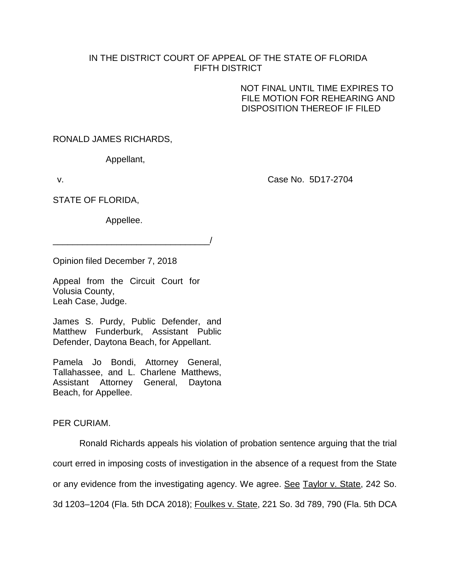## IN THE DISTRICT COURT OF APPEAL OF THE STATE OF FLORIDA FIFTH DISTRICT

NOT FINAL UNTIL TIME EXPIRES TO FILE MOTION FOR REHEARING AND DISPOSITION THEREOF IF FILED

RONALD JAMES RICHARDS,

Appellant,

v. Case No. 5D17-2704

STATE OF FLORIDA,

Appellee.

\_\_\_\_\_\_\_\_\_\_\_\_\_\_\_\_\_\_\_\_\_\_\_\_\_\_\_\_\_\_\_\_/

Opinion filed December 7, 2018

Appeal from the Circuit Court for Volusia County, Leah Case, Judge.

James S. Purdy, Public Defender, and Matthew Funderburk, Assistant Public Defender, Daytona Beach, for Appellant.

Pamela Jo Bondi, Attorney General, Tallahassee, and L. Charlene Matthews, Assistant Attorney General, Daytona Beach, for Appellee.

PER CURIAM.

Ronald Richards appeals his violation of probation sentence arguing that the trial court erred in imposing costs of investigation in the absence of a request from the State or any evidence from the investigating agency. We agree. See Taylor v. State, 242 So. 3d 1203–1204 (Fla. 5th DCA 2018); Foulkes v. State, 221 So. 3d 789, 790 (Fla. 5th DCA